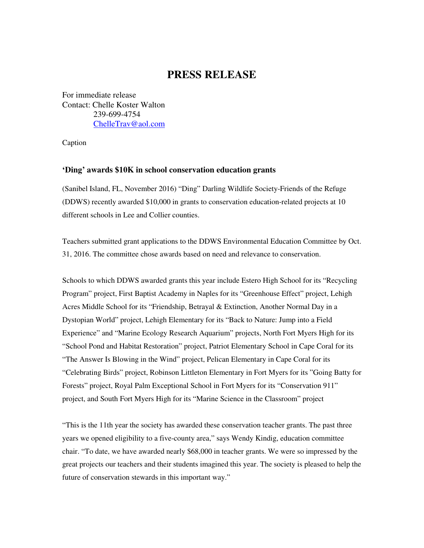## **PRESS RELEASE**

For immediate release Contact: Chelle Koster Walton 239-699-4754 ChelleTrav@aol.com

Caption

## **'Ding' awards \$10K in school conservation education grants**

(Sanibel Island, FL, November 2016) "Ding" Darling Wildlife Society-Friends of the Refuge (DDWS) recently awarded \$10,000 in grants to conservation education-related projects at 10 different schools in Lee and Collier counties.

Teachers submitted grant applications to the DDWS Environmental Education Committee by Oct. 31, 2016. The committee chose awards based on need and relevance to conservation.

Schools to which DDWS awarded grants this year include Estero High School for its "Recycling Program" project, First Baptist Academy in Naples for its "Greenhouse Effect" project, Lehigh Acres Middle School for its "Friendship, Betrayal & Extinction, Another Normal Day in a Dystopian World" project, Lehigh Elementary for its "Back to Nature: Jump into a Field Experience" and "Marine Ecology Research Aquarium" projects, North Fort Myers High for its "School Pond and Habitat Restoration" project, Patriot Elementary School in Cape Coral for its "The Answer Is Blowing in the Wind" project, Pelican Elementary in Cape Coral for its "Celebrating Birds" project, Robinson Littleton Elementary in Fort Myers for its "Going Batty for Forests" project, Royal Palm Exceptional School in Fort Myers for its "Conservation 911" project, and South Fort Myers High for its "Marine Science in the Classroom" project

"This is the 11th year the society has awarded these conservation teacher grants. The past three years we opened eligibility to a five-county area," says Wendy Kindig, education committee chair. "To date, we have awarded nearly \$68,000 in teacher grants. We were so impressed by the great projects our teachers and their students imagined this year. The society is pleased to help the future of conservation stewards in this important way."